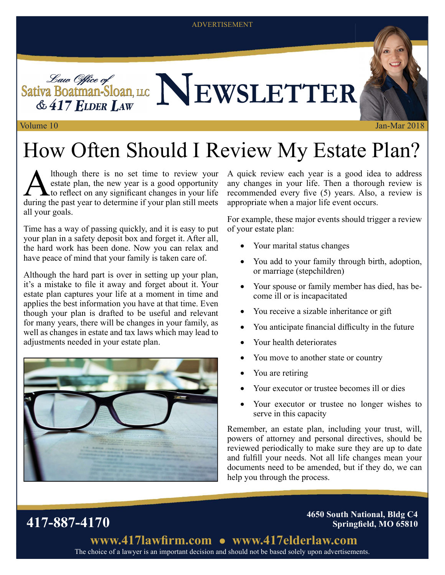#### ADVERTISEMENT



# How Often Should I Review My Estate Plan?

A though there is no set time to review your<br>estate plan, the new year is a good opportunity<br>during the past year to determine if your plan still meets lthough there is no set time to review your estate plan, the new year is a good opportunity  $\blacktriangle$  to reflect on any significant changes in your life all your goals.

Time has a way of passing quickly, and it is easy to put your plan in a safety deposit box and forget it. After all, the hard work has been done. Now you can relax and have peace of mind that your family is taken care of.

Although the hard part is over in setting up your plan, it's a mistake to file it away and forget about it. Your estate plan captures your life at a moment in time and applies the best information you have at that time. Even though your plan is drafted to be useful and relevant for many years, there will be changes in your family, as well as changes in estate and tax laws which may lead to adjustments needed in your estate plan.



417-887-4170

A quick review each year is a good idea to address any changes in your life. Then a thorough review is recommended every five  $(5)$  years. Also, a review is appropriate when a major life event occurs.

For example, these major events should trigger a review of your estate plan:

- Your marital status changes
- You add to your family through birth, adoption, or marriage (stepchildren)
- Your spouse or family member has died, has become ill or is incapacitated
- You receive a sizable inheritance or gift
- You anticipate financial difficulty in the future
- Your health deteriorates
- You move to another state or country
- You are retiring
- Your executor or trustee becomes ill or dies
- Your executor or trustee no longer wishes to serve in this capacity

Remember, an estate plan, including your trust, will, powers of attorney and personal directives, should be reviewed periodically to make sure they are up to date and fulfill your needs. Not all life changes mean your documents need to be amended, but if they do, we can help you through the process.

> 4650 South National, Bldg C4 Springfield, MO 65810

The choice of a lawyer is an important decision and should not be based solely upon advertisements. www.417lawfirm.com • www.417elderlaw.com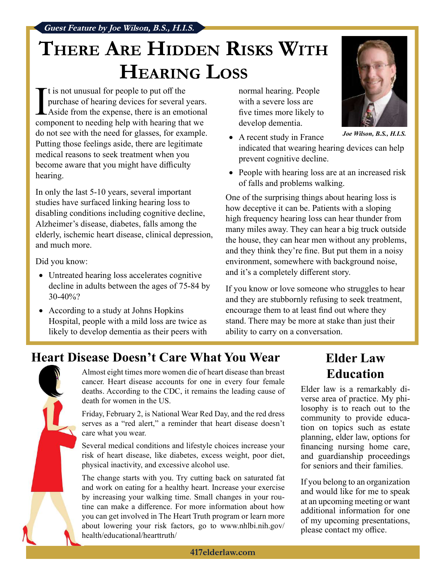Guest Feature by Joe Wilson, B.S., H.I.S.

## THERE ARE HIDDEN RISKS WITH **HEARING LOSS**

 $\prod_{\substack{p\\ \text{norm}}}^t$ It is not unusual for people to put off the purchase of hearing devices for several years. Aside from the expense, there is an emotional component to needing help with hearing that we do not see with the need for glasses, for example. Putting those feelings aside, there are legitimate medical reasons to seek treatment when you become aware that you might have difficulty hearing.

In only the last 5-10 years, several important studies have surfaced linking hearing loss to disabling conditions including cognitive decline, Alzheimer's disease, diabetes, falls among the elderly, ischemic heart disease, clinical depression, and much more.

Did you know:

- Untreated hearing loss accelerates cognitive decline in adults between the ages of 75-84 by 30-40%?
- According to a study at Johns Hopkins Hospital, people with a mild loss are twice as likely to develop dementia as their peers with

normal hearing. People with a severe loss are five times more likely to develop dementia.

- A recent study in France indicated that wearing hearing devices can help prevent cognitive decline.
- People with hearing loss are at an increased risk of falls and problems walking.

One of the surprising things about hearing loss is how deceptive it can be. Patients with a sloping high frequency hearing loss can hear thunder from many miles away. They can hear a big truck outside the house, they can hear men without any problems, and they think they're fine. But put them in a noisy environment, somewhere with background noise, and it's a completely different story.

If you know or love someone who struggles to hear and they are stubbornly refusing to seek treatment, encourage them to at least find out where they stand. There may be more at stake than just their ability to carry on a conversation.

### Heart Disease Doesn't Care What You Wear



Almost eight times more women die of heart disease than breast cancer. Heart disease accounts for one in every four female deaths. According to the CDC, it remains the leading cause of death for women in the US.

Friday, February 2, is National Wear Red Day, and the red dress serves as a "red alert," a reminder that heart disease doesn't care what you wear.

Several medical conditions and lifestyle choices increase your risk of heart disease, like diabetes, excess weight, poor diet, physical inactivity, and excessive alcohol use.

The change starts with you. Try cutting back on saturated fat and work on eating for a healthy heart. Increase your exercise by increasing your walking time. Small changes in your routine can make a difference. For more information about how you can get involved in The Heart Truth program or learn more about lowering your risk factors, go to www.nhlbi.nih.gov/ health/educational/hearttruth/

#### Elder Law Education

Elder law is a remarkably diverse area of practice. My philosophy is to reach out to the community to provide education on topics such as estate planning, elder law, options for financing nursing home care, and guardianship proceedings for seniors and their families.

If you belong to an organization and would like for me to speak at an upcoming meeting or want additional information for one of my upcoming presentations, please contact my office.



Joe Wilson, B.S., H.I.S.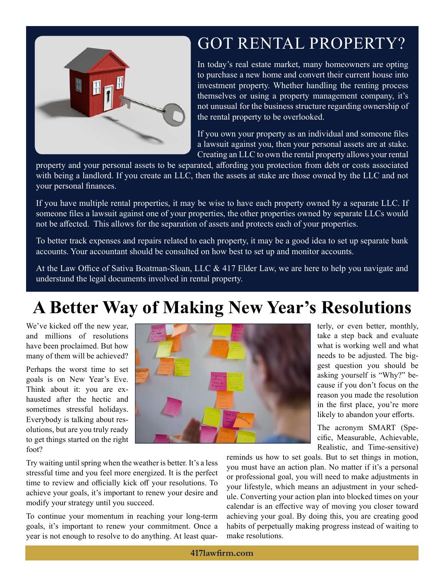

### GOT RENTAL PROPERTY?

In today's real estate market, many homeowners are opting to purchase a new home and convert their current house into investment property. Whether handling the renting process themselves or using a property management company, it's not unusual for the business structure regarding ownership of the rental property to be overlooked.

If you own your property as an individual and someone files a lawsuit against you, then your personal assets are at stake. Creating an LLC to own the rental property allows your rental

property and your personal assets to be separated, affording you protection from debt or costs associated with being a landlord. If you create an LLC, then the assets at stake are those owned by the LLC and not your personal finances.

If you have multiple rental properties, it may be wise to have each property owned by a separate LLC. If someone files a lawsuit against one of your properties, the other properties owned by separate LLCs would not be affected. This allows for the separation of assets and protects each of your properties.

To better track expenses and repairs related to each property, it may be a good idea to set up separate bank accounts. Your accountant should be consulted on how best to set up and monitor accounts.

At the Law Office of Sativa Boatman-Sloan, LLC  $& 417$  Elder Law, we are here to help you navigate and understand the legal documents involved in rental property.

### A Better Way of Making New Year's Resolutions

We've kicked off the new year, and millions of resolutions have been proclaimed. But how many of them will be achieved?

Perhaps the worst time to set goals is on New Year's Eve. Think about it: you are exhausted after the hectic and sometimes stressful holidays. Everybody is talking about resolutions, but are you truly ready to get things started on the right foot?



terly, or even better, monthly, take a step back and evaluate what is working well and what needs to be adjusted. The biggest question you should be asking yourself is "Why?" because if you don't focus on the reason you made the resolution in the first place, you're more likely to abandon your efforts.

The acronym SMART (Specific, Measurable, Achievable, Realistic, and Time-sensitive)

Try waiting until spring when the weather is better. It's a less stressful time and you feel more energized. It is the perfect time to review and officially kick off your resolutions. To achieve your goals, it's important to renew your desire and modify your strategy until you succeed.

To continue your momentum in reaching your long-term goals, it's important to renew your commitment. Once a year is not enough to resolve to do anything. At least quar-

reminds us how to set goals. But to set things in motion, you must have an action plan. No matter if it's a personal or professional goal, you will need to make adjustments in your lifestyle, which means an adjustment in your schedule. Converting your action plan into blocked times on your calendar is an effective way of moving you closer toward achieving your goal. By doing this, you are creating good habits of perpetually making progress instead of waiting to make resolutions.